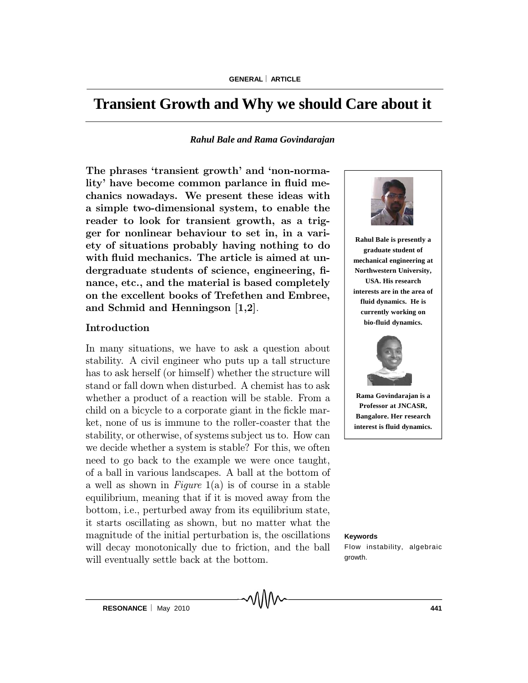# **Transient Growth and Why we should Care about it**

#### *Rahul Bale and Rama Govindarajan*

The phrases 'transient growth' and 'non-normality' have become common parlance in fluid mechanics nowadays. We present these ideas with a simple two-dimensional system, to enable the reader to look for transient growth, as a trigger for nonlinear behaviour to set in, in a variety of situations probably having nothing to do with fluid mechanics. The article is aimed at undergraduate students of science, engineering, finance, etc., and the material is based completely on the excellent books of Trefethen and Embree, and Schmid and Henningson [1,2].

## Introduction

In many situations, we have to ask a question about stability. A civil engineer who puts up a tall structure has to ask herself (or himself) whether the structure will stand or fall down when disturbed. A chemist has to ask whether a product of a reaction will be stable. From a child on a bicycle to a corporate giant in the fickle market, none of us is immune to the roller-coaster that the stability, or otherwise, of systems subject us to. How can we decide whether a system is stable? For this, we often need to go back to the example we were once taught, of a ball in various landscapes. A ball at the bottom of a well as shown in Figure  $1(a)$  is of course in a stable equilibrium, meaning that if it is moved away from the bottom, i.e., perturbed away from its equilibrium state, it starts oscillating as shown, but no matter what the magnitude of the initial perturbation is, the oscillations will decay monotonically due to friction, and the ball will eventually settle back at the bottom.



**Rahul Bale is presently a graduate student of mechanical engineering at Northwestern University, USA. His research interests are in the area of fluid dynamics. He is currently working on bio-fluid dynamics.**



**Rama Govindarajan is a Professor at JNCASR, Bangalore. Her research interest is fluid dynamics.**

#### **Keywords**

Flow instability, algebraic growth.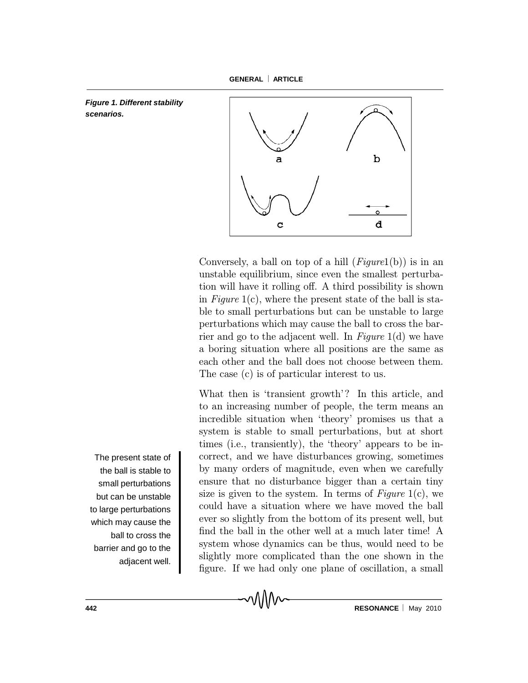*Figure 1. Different stability scenarios.*



Conversely, a ball on top of a hill  $(Fiqurel(b))$  is in an unstable equilibrium, since even the smallest perturbation will have it rolling off. A third possibility is shown in Figure 1(c), where the present state of the ball is stable to small perturbations but can be unstable to large perturbations which may cause the ball to cross the barrier and go to the adjacent well. In Figure  $1(d)$  we have a boring situation where all positions are the same as each other and the ball does not choose between them. The case (c) is of particular interest to us.

What then is 'transient growth'? In this article, and to an increasing number of people, the term means an incredible situation when `theory' promises us that a system is stable to small perturbations, but at short times (i.e., transiently), the 'theory' appears to be incorrect, and we have disturbances growing, sometimes by many orders of magnitude, even when we carefully ensure that no disturbance bigger than a certain tiny size is given to the system. In terms of  $Figure 1(c)$ , we could have a situation where we have moved the ball ever so slightly from the bottom of its present well, but find the ball in the other well at a much later time! A system whose dynamics can be thus, would need to be slightly more complicated than the one shown in the figure. If we had only one plane of oscillation, a small

The present state of the ball is stable to small perturbations but can be unstable to large perturbations which may cause the ball to cross the barrier and go to the adjacent well.

**442 RESONANCE** May 2010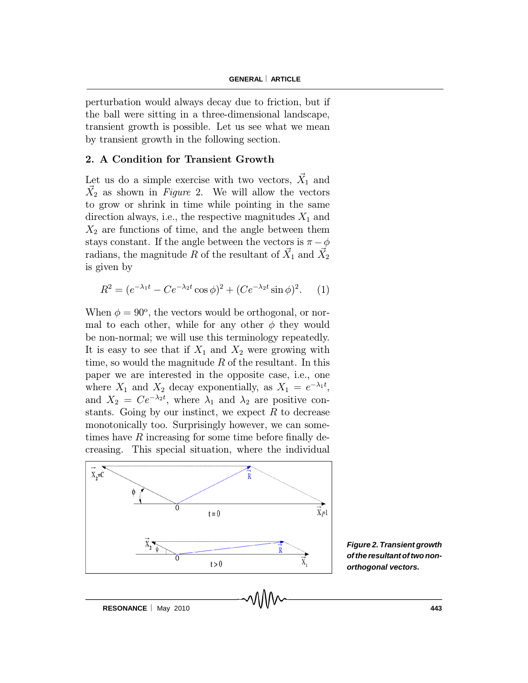perturbation would always decay due to friction, but if the ball were sitting in a three-dimensional landscape, transient growth is possible. Let us see what we mean by transient growth in the following section.

#### 2. A Condition for Transient Growth

Let us do a simple exercise with two vectors,  $\vec{X}_1$  and  $\vec{X}_2$  as shown in Figure 2. We will allow the vectors to grow or shrink in time while pointing in the same direction always, i.e., the respective magnitudes  $X_1$  and  $X_2$  are functions of time, and the angle between them stays constant. If the angle between the vectors is  $\pi - \phi$ radians, the magnitude  $\bar{R}$  of the resultant of  $\vec{X}_1$  and  $\vec{X}_2$ is given by

$$
R^{2} = (e^{-\lambda_{1}t} - Ce^{-\lambda_{2}t}\cos\phi)^{2} + (Ce^{-\lambda_{2}t}\sin\phi)^{2}.
$$
 (1)

When  $\phi = 90^{\circ}$ , the vectors would be orthogonal, or normal to each other, while for any other  $\phi$  they would be non-normal; we will use this terminology repeatedly. It is easy to see that if  $X_1$  and  $X_2$  were growing with time, so would the magnitude  $R$  of the resultant. In this paper we are interested in the opposite case, i.e., one where  $X_1$  and  $X_2$  decay exponentially, as  $X_1 = e^{-\lambda_1 t}$ , and  $X_2 = Ce^{-\lambda_2 t}$ , where  $\lambda_1$  and  $\lambda_2$  are positive constants. Going by our instinct, we expect  $R$  to decrease monotonically too. Surprisingly however, we can sometimes have  $R$  increasing for some time before finally decreasing. This special situation, where the individual



*Figure 2. Transient growth of the resultant of two nonorthogonal vectors.*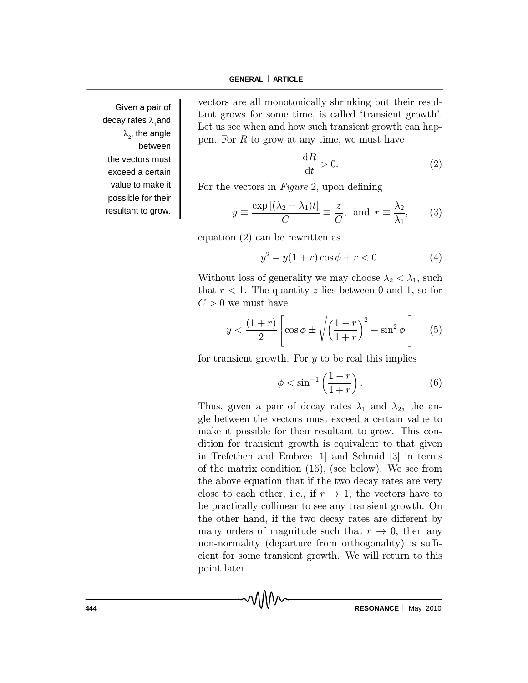Given a pair of decay rates λ<sub>1</sub>and  $\lambda_{2}$ , the angle between the vectors must exceed a certain value to make it possible for their resultant to grow.

vectors are all monotonically shrinking but their resultant grows for some time, is called `transient growth'. Let us see when and how such transient growth can happen. For  $R$  to grow at any time, we must have

$$
\frac{\mathrm{d}R}{\mathrm{d}t} > 0. \tag{2}
$$

For the vectors in  $Figure 2$ , upon defining

$$
y \equiv \frac{\exp\left[(\lambda_2 - \lambda_1)t\right]}{C} \equiv \frac{z}{C}, \text{ and } r \equiv \frac{\lambda_2}{\lambda_1}, \qquad (3)
$$

equation (2) can be rewritten as

$$
y^2 - y(1+r)\cos\phi + r < 0.\tag{4}
$$

Without loss of generality we may choose  $\lambda_2 < \lambda_1$ , such that  $r < 1$ . The quantity z lies between 0 and 1, so for  $C > 0$  we must have

$$
y < \frac{(1+r)}{2} \left[ \cos \phi \pm \sqrt{\left(\frac{1-r}{1+r}\right)^2 - \sin^2 \phi} \right]
$$
 (5)

for transient growth. For  $y$  to be real this implies

$$
\phi < \sin^{-1}\left(\frac{1-r}{1+r}\right). \tag{6}
$$

Thus, given a pair of decay rates  $\lambda_1$  and  $\lambda_2$ , the angle between the vectors must exceed a certain value to make it possible for their resultant to grow. This condition for transient growth is equivalent to that given in Trefethen and Embree [1] and Schmid [3] in terms of the matrix condition (16), (see below). We see from the above equation that if the two decay rates are very close to each other, i.e., if  $r \to 1$ , the vectors have to be practically collinear to see any transient growth. On the other hand, if the two decay rates are different by many orders of magnitude such that  $r \to 0$ , then any non-normality (departure from orthogonality) is sufficient for some transient growth. We will return to this point later.

**444 RESONANCE** May 2010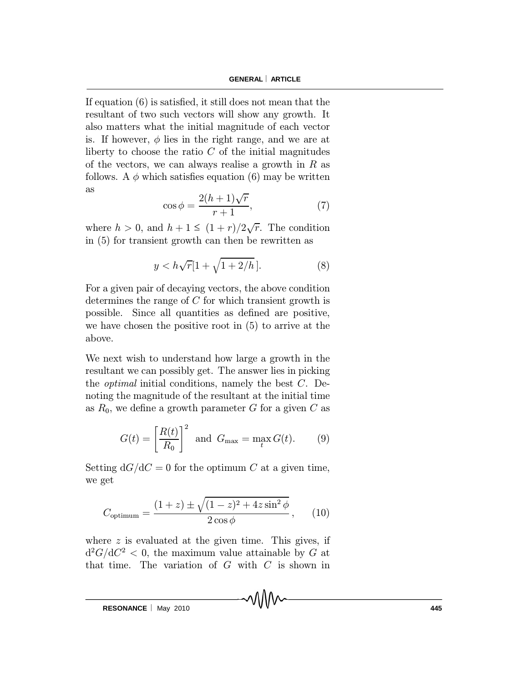If equation  $(6)$  is satisfied, it still does not mean that the resultant of two such vectors will show any growth. It also matters what the initial magnitude of each vector is. If however,  $\phi$  lies in the right range, and we are at liberty to choose the ratio  $C$  of the initial magnitudes of the vectors, we can always realise a growth in  $R$  as follows. A  $\phi$  which satisfies equation (6) may be written as

$$
\cos \phi = \frac{2(h+1)\sqrt{r}}{r+1},\tag{7}
$$

where  $h > 0$ , and  $h + 1 \leq (1 + r)/2\sqrt{r}$ . The condition in (5) for transient growth can then be rewritten as

$$
y < h\sqrt{r}[1 + \sqrt{1 + 2/h}].\tag{8}
$$

For a given pair of decaying vectors, the above condition determines the range of  $C$  for which transient growth is possible. Since all quantities as defined are positive, we have chosen the positive root in (5) to arrive at the above.

We next wish to understand how large a growth in the resultant we can possibly get. The answer lies in picking the *optimal* initial conditions, namely the best  $C$ . Denoting the magnitude of the resultant at the initial time as  $R_0$ , we define a growth parameter G for a given C as

$$
G(t) = \left[\frac{R(t)}{R_0}\right]^2 \text{ and } G_{\text{max}} = \max_t G(t). \tag{9}
$$

Setting  $dG/dC = 0$  for the optimum C at a given time, we get

$$
C_{\text{optimum}} = \frac{(1+z) \pm \sqrt{(1-z)^2 + 4z\sin^2\phi}}{2\cos\phi},
$$
 (10)

where  $z$  is evaluated at the given time. This gives, if  $d^2G/dC^2 < 0$ , the maximum value attainable by G at that time. The variation of  $G$  with  $C$  is shown in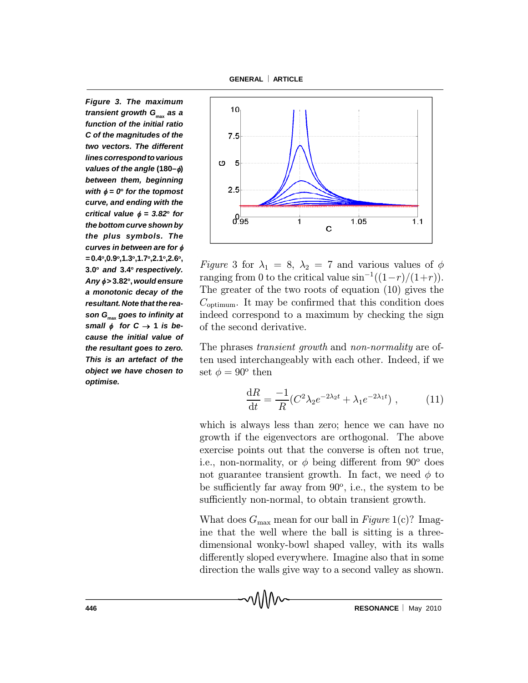**GENERAL ARTICLE**

*Figure 3. The maximum transient growth G***max** *as a function of the initial ratio C of the magnitudes of the two vectors. The different linescorrespondtovarious values of the angle* **(180–)** *between them, beginning with*  $\phi = 0$ <sup>o</sup> for the topmost *curve, and ending with the critical value*  $\phi = 3.82^{\circ}$  for *the bottom curve shown by the plus symbols. The curves in between are for =***0.4<sup>o</sup> ,0.9<sup>o</sup> ,1.3<sup>o</sup> ,1.7<sup>o</sup> ,2.1<sup>o</sup> ,2.6<sup>o</sup> , 3.0<sup>o</sup>** *and* **3.4<sup>o</sup>** *respectively. Any >* **3.82<sup>o</sup> ,** *would ensure a monotonic decay of the resultant. Note that the reason G***max** *goes to infinity at* small  $\phi$  for  $C \rightarrow 1$  is be*cause the initial value of the resultant goes to zero. This is an artefact of the object we have chosen to optimise.*



Figure 3 for  $\lambda_1 = 8, \lambda_2 = 7$  and various values of  $\phi$ ranging from 0 to the critical value  $\sin^{-1}((1-r)/(1+r))$ . The greater of the two roots of equation (10) gives the  $C_{\text{optimum}}$ . It may be confirmed that this condition does indeed correspond to a maximum by checking the sign of the second derivative.

The phrases *transient growth* and *non-normality* are often used interchangeably with each other. Indeed, if we set  $\phi = 90^{\circ}$  then

$$
\frac{dR}{dt} = \frac{-1}{R} (C^2 \lambda_2 e^{-2\lambda_2 t} + \lambda_1 e^{-2\lambda_1 t}), \qquad (11)
$$

which is always less than zero; hence we can have no growth if the eigenvectors are orthogonal. The above exercise points out that the converse is often not true, i.e., non-normality, or  $\phi$  being different from 90 $^{\circ}$  does not guarantee transient growth. In fact, we need  $\phi$  to be sufficiently far away from 90°, i.e., the system to be sufficiently non-normal, to obtain transient growth.

What does  $G_{\text{max}}$  mean for our ball in Figure 1(c)? Imagine that the well where the ball is sitting is a threedimensional wonky-bowl shaped valley, with its walls differently sloped everywhere. Imagine also that in some direction the walls give way to a second valley as shown.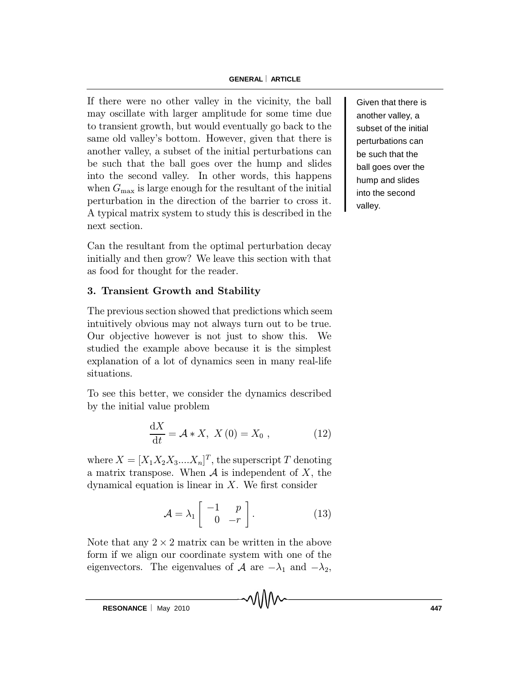#### **GENERAL ARTICLE**

If there were no other valley in the vicinity, the ball may oscillate with larger amplitude for some time due to transient growth, but would eventually go back to the same old valley's bottom. However, given that there is another valley, a subset of the initial perturbations can be such that the ball goes over the hump and slides into the second valley. In other words, this happens when  $G_{\text{max}}$  is large enough for the resultant of the initial perturbation in the direction of the barrier to cross it. A typical matrix system to study this is described in the next section.

Can the resultant from the optimal perturbation decay initially and then grow? We leave this section with that as food for thought for the reader.

# 3. Transient Growth and Stability

The previous section showed that predictions which seem intuitively obvious may not always turn out to be true. Our objective however is not just to show this. We studied the example above because it is the simplest explanation of a lot of dynamics seen in many real-life situations.

To see this better, we consider the dynamics described by the initial value problem

$$
\frac{\mathrm{d}X}{\mathrm{d}t} = \mathcal{A} * X, \ X(0) = X_0 \ , \tag{12}
$$

where  $X = [X_1 X_2 X_3....X_n]^T$ , the superscript  $T$  denoting a matrix transpose. When  $A$  is independent of  $X$ , the dynamical equation is linear in  $X$ . We first consider

$$
\mathcal{A} = \lambda_1 \begin{bmatrix} -1 & p \\ 0 & -r \end{bmatrix} . \tag{13}
$$

Note that any  $2 \times 2$  matrix can be written in the above form if we align our coordinate system with one of the eigenvectors. The eigenvalues of A are  $-\lambda_1$  and  $-\lambda_2$ ,

Given that there is another valley, a subset of the initial perturbations can be such that the ball goes over the hump and slides into the second valley.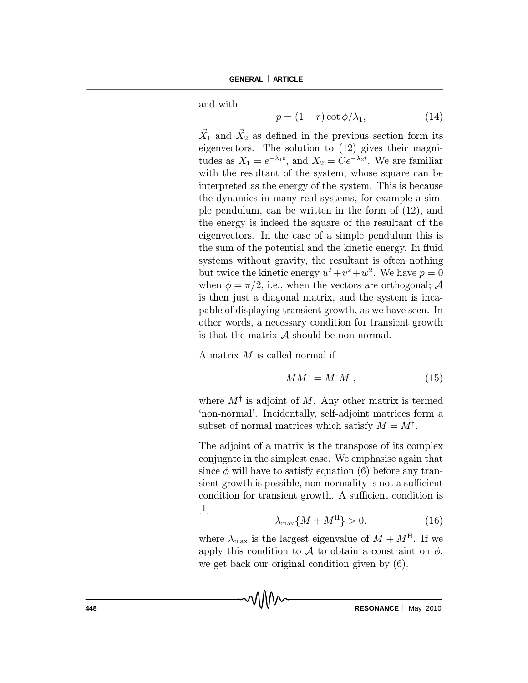and with

$$
p = (1 - r)\cot\phi/\lambda_1,\tag{14}
$$

 $\vec{X}_1$  and  $\vec{X}_2$  as defined in the previous section form its eigenvectors. The solution to (12) gives their magnitudes as  $X_1 = e^{-\lambda_1 t}$ , and  $X_2 = Ce^{-\lambda_2 t}$ . We are familiar with the resultant of the system, whose square can be interpreted as the energy of the system. This is because the dynamics in many real systems, for example a simple pendulum, can be written in the form of (12), and the energy is indeed the square of the resultant of the eigenvectors. In the case of a simple pendulum this is the sum of the potential and the kinetic energy. In fluid systems without gravity, the resultant is often nothing but twice the kinetic energy  $u^2 + v^2 + w^2$ . We have  $p = 0$ when  $\phi = \pi/2$ , i.e., when the vectors are orthogonal; A is then just a diagonal matrix, and the system is incapable of displaying transient growth, as we have seen. In other words, a necessary condition for transient growth is that the matrix  $A$  should be non-normal.

A matrix  $M$  is called normal if

$$
MM^{\dagger} = M^{\dagger}M \tag{15}
$$

where  $M^{\dagger}$  is adjoint of M. Any other matrix is termed `non-normal'. Incidentally, self-adjoint matrices form a subset of normal matrices which satisfy  $M = M^{\dagger}$ .

The adjoint of a matrix is the transpose of its complex conjugate in the simplest case. We emphasise again that since  $\phi$  will have to satisfy equation (6) before any transient growth is possible, non-normality is not a sufficient condition for transient growth. A sufficient condition is [1]

$$
\lambda_{\max}\{M + M^{\mathrm{H}}\} > 0,\tag{16}
$$

where  $\lambda_{\text{max}}$  is the largest eigenvalue of  $M + M^{\text{H}}$ . If we apply this condition to A to obtain a constraint on  $\phi$ , we get back our original condition given by (6).

**448 RESONANCE** May 2010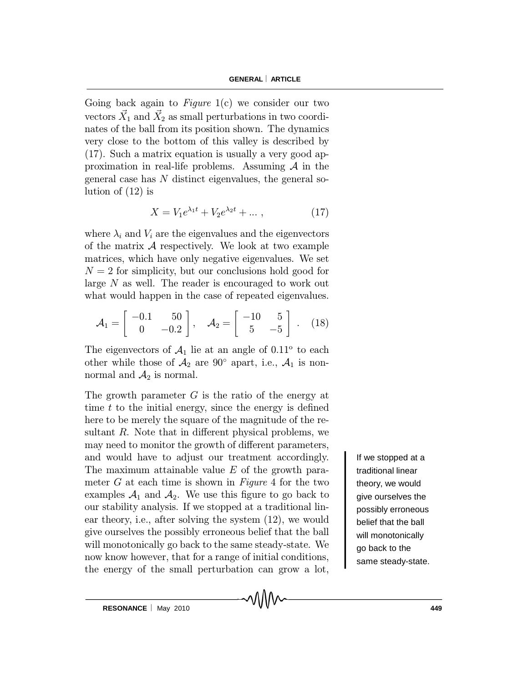Going back again to  $Figure 1(c)$  we consider our two vectors  $\vec{X}_1$  and  $\vec{X}_2$  as small perturbations in two coordinates of the ball from its position shown. The dynamics very close to the bottom of this valley is described by (17). Such a matrix equation is usually a very good approximation in real-life problems. Assuming  $A$  in the general case has N distinct eigenvalues, the general solution of (12) is

$$
X = V_1 e^{\lambda_1 t} + V_2 e^{\lambda_2 t} + \dots \,, \tag{17}
$$

where  $\lambda_i$  and  $V_i$  are the eigenvalues and the eigenvectors of the matrix  $A$  respectively. We look at two example matrices, which have only negative eigenvalues. We set  $N = 2$  for simplicity, but our conclusions hold good for large N as well. The reader is encouraged to work out what would happen in the case of repeated eigenvalues.

$$
\mathcal{A}_1 = \begin{bmatrix} -0.1 & 50 \\ 0 & -0.2 \end{bmatrix}, \quad \mathcal{A}_2 = \begin{bmatrix} -10 & 5 \\ 5 & -5 \end{bmatrix} . \quad (18)
$$

The eigenvectors of  $A_1$  lie at an angle of  $0.11^{\circ}$  to each other while those of  $A_2$  are 90° apart, i.e.,  $A_1$  is nonnormal and  $\mathcal{A}_2$  is normal.

The growth parameter  $G$  is the ratio of the energy at time  $t$  to the initial energy, since the energy is defined here to be merely the square of the magnitude of the resultant  $R$ . Note that in different physical problems, we may need to monitor the growth of different parameters, and would have to adjust our treatment accordingly. The maximum attainable value  $E$  of the growth parameter  $G$  at each time is shown in Figure 4 for the two examples  $A_1$  and  $A_2$ . We use this figure to go back to our stability analysis. If we stopped at a traditional linear theory, i.e., after solving the system (12), we would give ourselves the possibly erroneous belief that the ball will monotonically go back to the same steady-state. We now know however, that for a range of initial conditions, the energy of the small perturbation can grow a lot,

If we stopped at a traditional linear theory, we would give ourselves the possibly erroneous belief that the ball will monotonically go back to the same steady-state.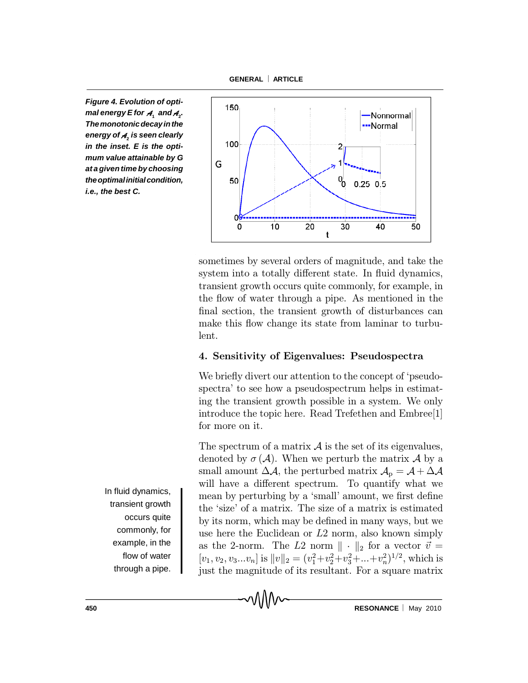**GENERAL ARTICLE**

*Figure 4. Evolution of optimal* energy E for  $\boldsymbol{\mathcal{A}}_{{}_{1}}$  and  $\boldsymbol{\mathcal{A}}_{{}_{2}}$ . *Themonotonicdecayinthe energy of A***<sup>2</sup>** *is seen clearly in the inset. E is the optimum value attainable by G at a given time by choosing theoptimalinitialcondition, i.e., the best C.*



sometimes by several orders of magnitude, and take the system into a totally different state. In fluid dynamics, transient growth occurs quite commonly, for example, in the flow of water through a pipe. As mentioned in the final section, the transient growth of disturbances can make this flow change its state from laminar to turbulent.

## 4. Sensitivity of Eigenvalues: Pseudospectra

We briefly divert our attention to the concept of 'pseudospectra' to see how a pseudospectrum helps in estimating the transient growth possible in a system. We only introduce the topic here. Read Trefethen and Embree[1] for more on it.

The spectrum of a matrix  $\mathcal A$  is the set of its eigenvalues, denoted by  $\sigma(\mathcal{A})$ . When we perturb the matrix  $\mathcal{A}$  by a small amount  $\Delta \mathcal{A}$ , the perturbed matrix  $\mathcal{A}_{p} = \mathcal{A} + \Delta \mathcal{A}$ will have a different spectrum. To quantify what we mean by perturbing by a 'small' amount, we first define the `size' of a matrix. The size of a matrix is estimated by its norm, which may be defined in many ways, but we use here the Euclidean or L2 norm, also known simply as the 2-norm. The L2 norm  $\|\cdot\|_2$  for a vector  $\vec{v} =$  $[v_1, v_2, v_3...v_n]$  is  $||v||_2 = (v_1^2 + v_2^2 + v_3^2 + ... + v_n^2)^{1/2}$ , which is just the magnitude of its resultant. For a square matrix

In fluid dynamics, transient growth occurs quite commonly, for example, in the flow of water through a pipe.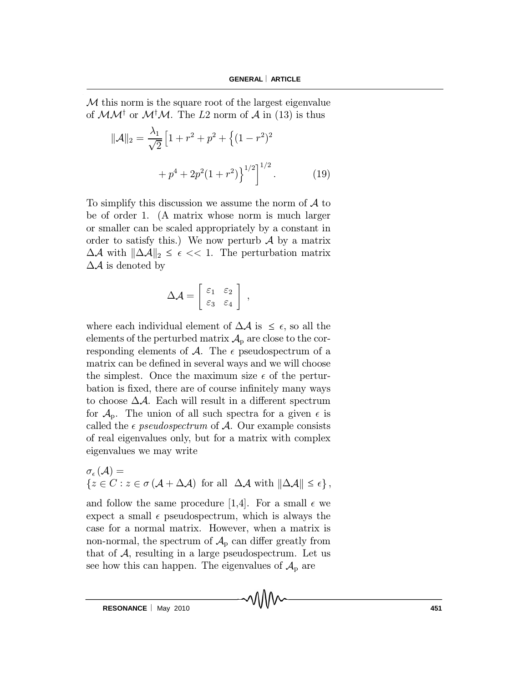M this norm is the square root of the largest eigenvalue of  $MM^{\dagger}$  or  $M^{\dagger}M$ . The L2 norm of A in (13) is thus

$$
\|\mathcal{A}\|_2 = \frac{\lambda_1}{\sqrt{2}} \left[ 1 + r^2 + p^2 + \left\{ (1 - r^2)^2 \right.\right.\n\left.\right.
$$
\n
$$
+ p^4 + 2p^2(1 + r^2) \right\}^{1/2}.
$$
\n(19)

To simplify this discussion we assume the norm of  $A$  to be of order 1. (A matrix whose norm is much larger or smaller can be scaled appropriately by a constant in order to satisfy this.) We now perturb  $\mathcal A$  by a matrix  $\Delta A$  with  $\|\Delta A\|_2 \leq \epsilon \ll 1$ . The perturbation matrix  $\Delta A$  is denoted by

$$
\Delta \mathcal{A} = \left[ \begin{array}{cc} \varepsilon_1 & \varepsilon_2 \\ \varepsilon_3 & \varepsilon_4 \end{array} \right] ,
$$

where each individual element of  $\Delta A$  is  $\leq \epsilon$ , so all the elements of the perturbed matrix  $\mathcal{A}_{p}$  are close to the corresponding elements of  $\mathcal{A}$ . The  $\epsilon$  pseudospectrum of a matrix can be defined in several ways and we will choose the simplest. Once the maximum size  $\epsilon$  of the perturbation is fixed, there are of course infinitely many ways to choose  $\Delta A$ . Each will result in a different spectrum for  $A_p$ . The union of all such spectra for a given  $\epsilon$  is called the  $\epsilon$  *pseudospectrum* of  $\mathcal{A}$ . Our example consists of real eigenvalues only, but for a matrix with complex eigenvalues we may write

$$
\sigma_{\epsilon}(\mathcal{A}) =
$$
  

$$
\{z \in C : z \in \sigma(\mathcal{A} + \Delta \mathcal{A}) \text{ for all } \Delta \mathcal{A} \text{ with } ||\Delta \mathcal{A}|| \leq \epsilon \},
$$

and follow the same procedure [1,4]. For a small  $\epsilon$  we expect a small  $\epsilon$  pseudospectrum, which is always the case for a normal matrix. However, when a matrix is non-normal, the spectrum of  $\mathcal{A}_{\rm p}$  can differ greatly from that of  $A$ , resulting in a large pseudospectrum. Let us see how this can happen. The eigenvalues of  $\mathcal{A}_{\rm p}$  are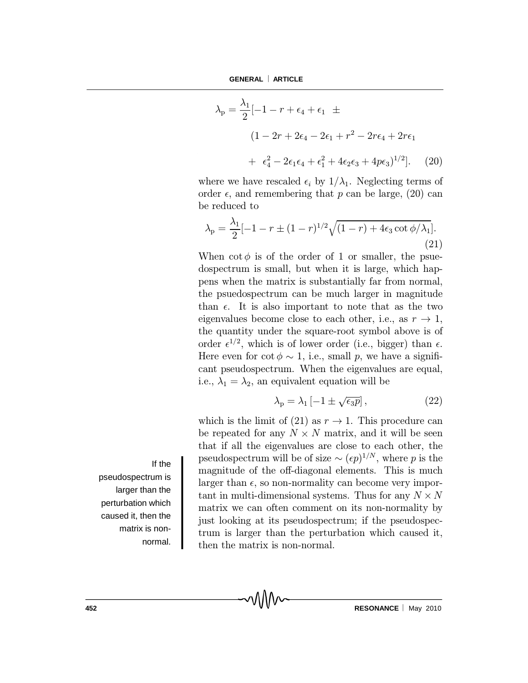$$
\lambda_{\rm p} = \frac{\lambda_1}{2} \left[ -1 - r + \epsilon_4 + \epsilon_1 \right] \pm
$$
  
\n
$$
\left( 1 - 2r + 2\epsilon_4 - 2\epsilon_1 + r^2 - 2r\epsilon_4 + 2r\epsilon_1 \right.
$$
  
\n
$$
+ \epsilon_4^2 - 2\epsilon_1 \epsilon_4 + \epsilon_1^2 + 4\epsilon_2 \epsilon_3 + 4p\epsilon_3 \right)^{1/2} ]. \quad (20)
$$

where we have rescaled  $\epsilon_i$  by  $1/\lambda_1$ . Neglecting terms of order  $\epsilon$ , and remembering that p can be large, (20) can be reduced to

$$
\lambda_{\rm p} = \frac{\lambda_1}{2} [-1 - r \pm (1 - r)^{1/2} \sqrt{(1 - r) + 4\epsilon_3 \cot \phi / \lambda_1}].
$$
\n(21)

When  $\cot \phi$  is of the order of 1 or smaller, the psuedospectrum is small, but when it is large, which happens when the matrix is substantially far from normal, the psuedospectrum can be much larger in magnitude than  $\epsilon$ . It is also important to note that as the two eigenvalues become close to each other, i.e., as  $r \to 1$ , the quantity under the square-root symbol above is of order  $\epsilon^{1/2}$ , which is of lower order (i.e., bigger) than  $\epsilon$ . Here even for  $\cot \phi \sim 1$ , i.e., small p, we have a significant pseudospectrum. When the eigenvalues are equal, i.e.,  $\lambda_1 = \lambda_2$ , an equivalent equation will be

$$
\lambda_{\rm p} = \lambda_1 \left[ -1 \pm \sqrt{\epsilon_3 p} \right],\tag{22}
$$

which is the limit of (21) as  $r \to 1$ . This procedure can be repeated for any  $N \times N$  matrix, and it will be seen that if all the eigenvalues are close to each other, the pseudospectrum will be of size  $\sim (\epsilon p)^{1/N}$ , where p is the magnitude of the off-diagonal elements. This is much larger than  $\epsilon$ , so non-normality can become very important in multi-dimensional systems. Thus for any  $N \times N$ matrix we can often comment on its non-normality by just looking at its pseudospectrum; if the pseudospectrum is larger than the perturbation which caused it, then the matrix is non-normal.

If the pseudospectrum is larger than the perturbation which caused it, then the matrix is nonnormal.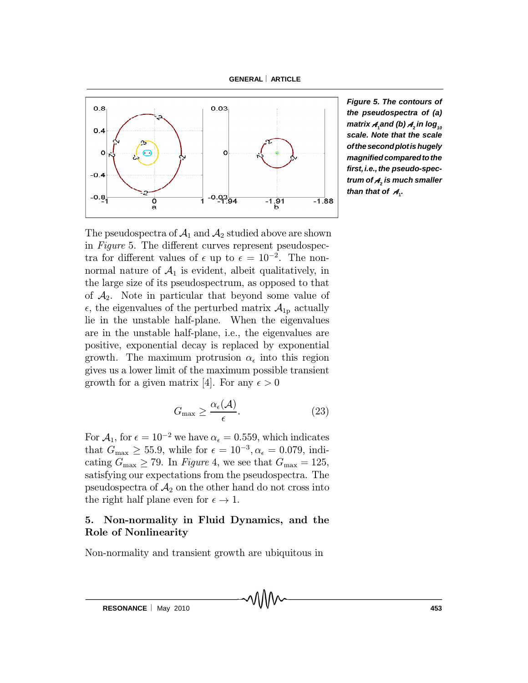**GENERAL ARTICLE**



*Figure 5. The contours of the pseudospectra of (a)*  $m$ atrix  $\boldsymbol{\mathcal{A}}_i$ and (b)  $\boldsymbol{\mathcal{A}}_2$  in log $_{n_0}$ *scale. Note that the scale ofthesecondplotishugely magnifiedcomparedtothe first,i.e.,the pseudo-spectrum of A***<sup>2</sup>** *is much smaller than that of*  $A_1$ .

The pseudospectra of  $\mathcal{A}_1$  and  $\mathcal{A}_2$  studied above are shown in Figure 5. The different curves represent pseudospectra for different values of  $\epsilon$  up to  $\epsilon = 10^{-2}$ . The nonnormal nature of  $A_1$  is evident, albeit qualitatively, in the large size of its pseudospectrum, as opposed to that of  $\mathcal{A}_2$ . Note in particular that beyond some value of  $\epsilon$ , the eigenvalues of the perturbed matrix  $\mathcal{A}_{1p}$  actually lie in the unstable half-plane. When the eigenvalues are in the unstable half-plane, i.e., the eigenvalues are positive, exponential decay is replaced by exponential growth. The maximum protrusion  $\alpha_{\epsilon}$  into this region gives us a lower limit of the maximum possible transient growth for a given matrix [4]. For any  $\epsilon > 0$ 

$$
G_{\max} \ge \frac{\alpha_{\epsilon}(\mathcal{A})}{\epsilon}.
$$
 (23)

MMV

For  $A_1$ , for  $\epsilon = 10^{-2}$  we have  $\alpha_{\epsilon} = 0.559$ , which indicates that  $G_{\text{max}} \ge 55.9$ , while for  $\epsilon = 10^{-3}, \alpha_{\epsilon} = 0.079$ , indicating  $G_{\text{max}} \geq 79$ . In Figure 4, we see that  $G_{\text{max}} = 125$ , satisfying our expectations from the pseudospectra. The pseudospectra of  $\mathcal{A}_2$  on the other hand do not cross into the right half plane even for  $\epsilon \to 1$ .

## 5. Non-normality in Fluid Dynamics, and the Role of Nonlinearity

Non-normality and transient growth are ubiquitous in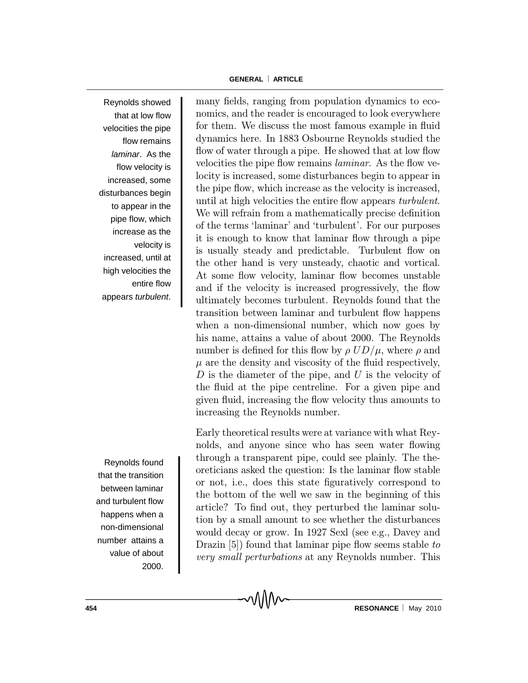Reynolds showed that at low flow velocities the pipe flow remains *laminar*. As the flow velocity is increased, some disturbances begin to appear in the pipe flow, which increase as the velocity is increased, until at high velocities the entire flow appears *turbulent*.

Reynolds found that the transition between laminar and turbulent flow happens when a non-dimensional number attains a value of about 2000.

many fields, ranging from population dynamics to economics, and the reader is encouraged to look everywhere for them. We discuss the most famous example in fluid dynamics here. In 1883 Osbourne Reynolds studied the flow of water through a pipe. He showed that at low flow velocities the pipe flow remains *laminar*. As the flow velocity is increased, some disturbances begin to appear in the pipe flow, which increase as the velocity is increased, until at high velocities the entire flow appears *turbulent*. We will refrain from a mathematically precise definition of the terms `laminar' and `turbulent'. For our purposes it is enough to know that laminar flow through a pipe is usually steady and predictable. Turbulent flow on the other hand is very unsteady, chaotic and vortical. At some flow velocity, laminar flow becomes unstable and if the velocity is increased progressively, the flow ultimately becomes turbulent. Reynolds found that the transition between laminar and turbulent flow happens when a non-dimensional number, which now goes by his name, attains a value of about 2000. The Reynolds number is defined for this flow by  $\rho U D/\mu$ , where  $\rho$  and  $\mu$  are the density and viscosity of the fluid respectively,  $D$  is the diameter of the pipe, and  $U$  is the velocity of the fluid at the pipe centreline. For a given pipe and given fluid, increasing the flow velocity thus amounts to increasing the Reynolds number.

Early theoretical results were at variance with what Reynolds, and anyone since who has seen water flowing through a transparent pipe, could see plainly. The theoreticians asked the question: Is the laminar flow stable or not, i.e., does this state figuratively correspond to the bottom of the well we saw in the beginning of this article? To find out, they perturbed the laminar solution by a small amount to see whether the disturbances would decay or grow. In 1927 Sexl (see e.g., Davey and Drazin  $[5]$  found that laminar pipe flow seems stable to very small perturbations at any Reynolds number. This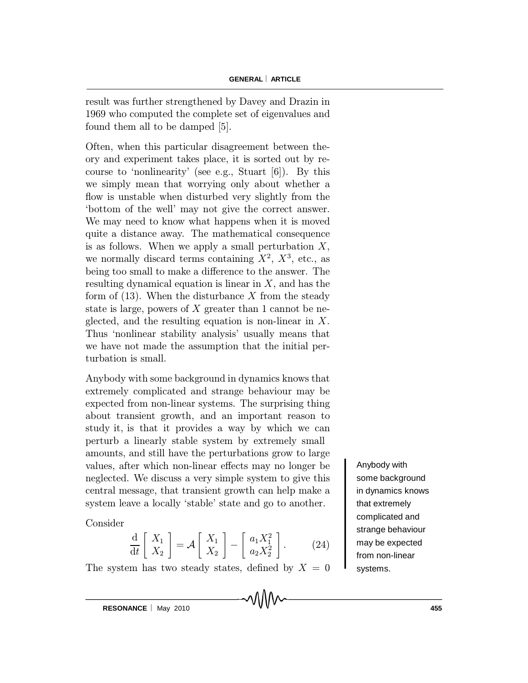result was further strengthened by Davey and Drazin in 1969 who computed the complete set of eigenvalues and found them all to be damped [5].

Often, when this particular disagreement between theory and experiment takes place, it is sorted out by recourse to 'nonlinearity' (see e.g., Stuart  $[6]$ ). By this we simply mean that worrying only about whether a flow is unstable when disturbed very slightly from the `bottom of the well' may not give the correct answer. We may need to know what happens when it is moved quite a distance away. The mathematical consequence is as follows. When we apply a small perturbation  $X$ , we normally discard terms containing  $X^2$ ,  $X^3$ , etc., as being too small to make a difference to the answer. The resulting dynamical equation is linear in  $X$ , and has the form of  $(13)$ . When the disturbance X from the steady state is large, powers of  $X$  greater than 1 cannot be neglected, and the resulting equation is non-linear in  $X$ . Thus `nonlinear stability analysis' usually means that we have not made the assumption that the initial perturbation is small.

Anybody with some background in dynamics knows that extremely complicated and strange behaviour may be expected from non-linear systems. The surprising thing about transient growth, and an important reason to study it, is that it provides a way by which we can perturb a linearly stable system by extremely small amounts, and still have the perturbations grow to large values, after which non-linear effects may no longer be neglected. We discuss a very simple system to give this central message, that transient growth can help make a system leave a locally 'stable' state and go to another.

Consider

$$
\frac{\mathrm{d}}{\mathrm{d}t} \left[ \begin{array}{c} X_1 \\ X_2 \end{array} \right] = \mathcal{A} \left[ \begin{array}{c} X_1 \\ X_2 \end{array} \right] - \left[ \begin{array}{c} a_1 X_1^2 \\ a_2 X_2^2 \end{array} \right]. \tag{24}
$$

The system has two steady states, defined by  $X = 0$ 

Anybody with some background in dynamics knows that extremely complicated and strange behaviour may be expected from non-linear systems.

**RESONANCE** | May 2010 **455**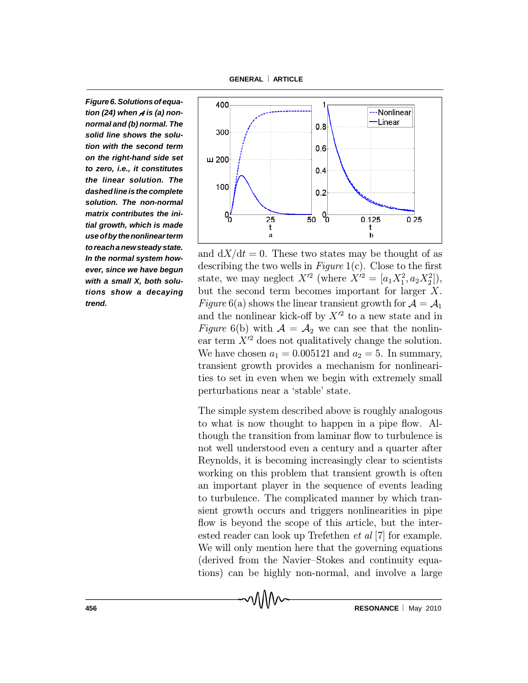**GENERAL ARTICLE**

*Figure6. Solutionsof equation (24) when A is (a) nonnormal and (b) normal. The solid line shows the solution with the second term on the right-hand side set to zero, i.e., it constitutes the linear solution. The dashed lineis the complete solution. The non-normal matrix contributes the initial growth, which is made useofbythenonlinearterm toreacha newsteady state. In the normal system however, since we have begun with a small X, both solutions show a decaying trend.*



and  $dX/dt = 0$ . These two states may be thought of as describing the two wells in  $Figure 1(c)$ . Close to the first state, we may neglect  $X'^2$  (where  $X'^2 = [a_1 X_1^2, a_2 X_2^2]$ ), but the second term becomes important for larger X. Figure 6(a) shows the linear transient growth for  $\mathcal{A} = \mathcal{A}_1$ and the nonlinear kick-off by  $X'^2$  to a new state and in Figure 6(b) with  $\mathcal{A} = \mathcal{A}_2$  we can see that the nonlinear term  $X<sup>2</sup>$  does not qualitatively change the solution. We have chosen  $a_1 = 0.005121$  and  $a_2 = 5$ . In summary, transient growth provides a mechanism for nonlinearities to set in even when we begin with extremely small perturbations near a 'stable' state.

The simple system described above is roughly analogous to what is now thought to happen in a pipe flow. Although the transition from laminar flow to turbulence is not well understood even a century and a quarter after Reynolds, it is becoming increasingly clear to scientists working on this problem that transient growth is often an important player in the sequence of events leading to turbulence. The complicated manner by which transient growth occurs and triggers nonlinearities in pipe flow is beyond the scope of this article, but the interested reader can look up Trefethen et al [7] for example. We will only mention here that the governing equations (derived from the Navier-Stokes and continuity equations) can be highly non-normal, and involve a large